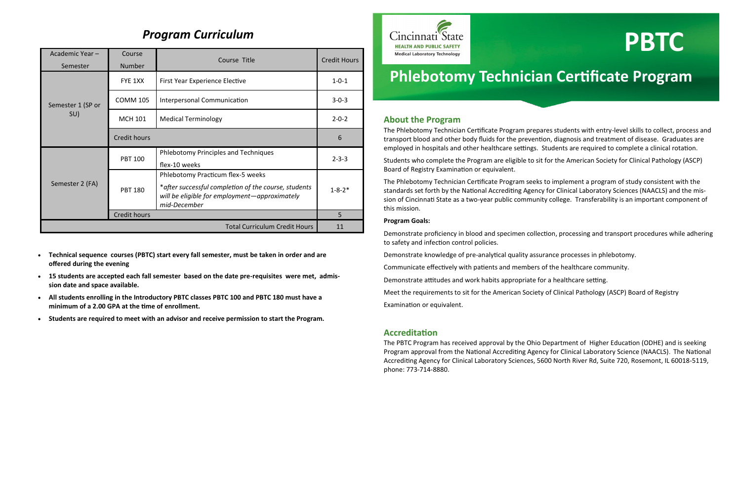## **About the Program**

The Phlebotomy Technician Certificate Program prepares students with entry-level skills to collect, process and transport blood and other body fluids for the prevention, diagnosis and treatment of disease. Graduates are employed in hospitals and other healthcare settings. Students are required to complete a clinical rotation.

Students who complete the Program are eligible to sit for the American Society for Clinical Pathology (ASCP) Board of Registry Examination or equivalent.

The Phlebotomy Technician Certificate Program seeks to implement a program of study consistent with the standards set forth by the National Accrediting Agency for Clinical Laboratory Sciences (NAACLS) and the mission of Cincinnati State as a two-year public community college. Transferability is an important component of this mission.

### **Program Goals:**

Demonstrate proficiency in blood and specimen collection, processing and transport procedures while adhering to safety and infection control policies.

Demonstrate knowledge of pre-analytical quality assurance processes in phlebotomy.

Communicate effectively with patients and members of the healthcare community.

Demonstrate attitudes and work habits appropriate for a healthcare setting.

Meet the requirements to sit for the American Society of Clinical Pathology (ASCP) Board of Registry

Examination or equivalent.

## **Accreditation**

The PBTC Program has received approval by the Ohio Department of Higher Education (ODHE) and is seeking Program approval from the National Accrediting Agency for Clinical Laboratory Science (NAACLS). The National Accrediting Agency for Clinical Laboratory Sciences, 5600 North River Rd, Suite 720, Rosemont, IL 60018-5119, phone: 773-714-8880.

- 
- 
- 
- 
- **Technical sequence courses (PBTC) start every fall semester, must be taken in order and are offered during the evening**
- **15 students are accepted each fall semester based on the date pre-requisites were met, admission date and space available.**
- **All students enrolling in the Introductory PBTC classes PBTC 100 and PBTC 180 must have a minimum of a 2.00 GPA at the time of enrollment.**
- **Students are required to meet with an advisor and receive permission to start the Program.**



# **Phlebotomy Technician Certificate Program**

# *Program Curriculum*

| Academic Year-                       | Course              | Course Title                                                                                                                                                | <b>Credit Hours</b> |
|--------------------------------------|---------------------|-------------------------------------------------------------------------------------------------------------------------------------------------------------|---------------------|
| Semester                             | Number              |                                                                                                                                                             |                     |
| Semester 1 (SP or<br>SU)             | FYE 1XX             | First Year Experience Elective                                                                                                                              | $1 - 0 - 1$         |
|                                      | <b>COMM 105</b>     | Interpersonal Communication                                                                                                                                 | $3 - 0 - 3$         |
|                                      | <b>MCH 101</b>      | <b>Medical Terminology</b>                                                                                                                                  | $2 - 0 - 2$         |
|                                      | <b>Credit hours</b> |                                                                                                                                                             | 6                   |
| Semester 2 (FA)                      | <b>PBT 100</b>      | Phlebotomy Principles and Techniques<br>flex-10 weeks                                                                                                       | $2 - 3 - 3$         |
|                                      | <b>PBT 180</b>      | Phlebotomy Practicum flex-5 weeks<br>* after successful completion of the course, students<br>will be eligible for employment-approximately<br>mid-December | $1 - 8 - 2*$        |
|                                      | Credit hours        |                                                                                                                                                             | 5                   |
| <b>Total Curriculum Credit Hours</b> |                     |                                                                                                                                                             | 11                  |